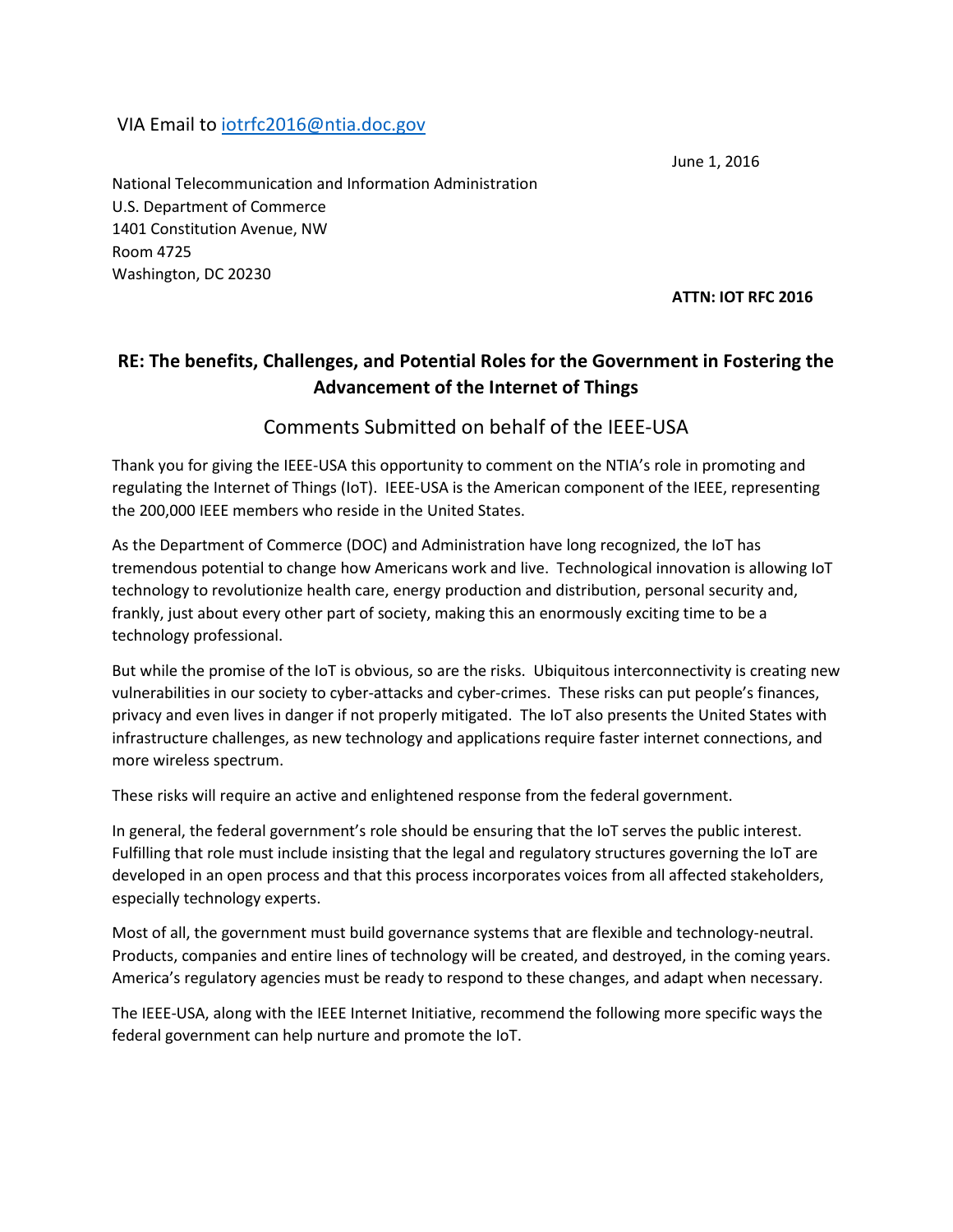## VIA Email to [iotrfc2016@ntia.doc.gov](mailto:iotrfc2016@ntia.doc.gov)

June 1, 2016

National Telecommunication and Information Administration U.S. Department of Commerce 1401 Constitution Avenue, NW Room 4725 Washington, DC 20230

**ATTN: IOT RFC 2016**

# **RE: The benefits, Challenges, and Potential Roles for the Government in Fostering the Advancement of the Internet of Things**

## Comments Submitted on behalf of the IEEE-USA

Thank you for giving the IEEE-USA this opportunity to comment on the NTIA's role in promoting and regulating the Internet of Things (IoT). IEEE-USA is the American component of the IEEE, representing the 200,000 IEEE members who reside in the United States.

As the Department of Commerce (DOC) and Administration have long recognized, the IoT has tremendous potential to change how Americans work and live. Technological innovation is allowing IoT technology to revolutionize health care, energy production and distribution, personal security and, frankly, just about every other part of society, making this an enormously exciting time to be a technology professional.

But while the promise of the IoT is obvious, so are the risks. Ubiquitous interconnectivity is creating new vulnerabilities in our society to cyber-attacks and cyber-crimes. These risks can put people's finances, privacy and even lives in danger if not properly mitigated. The IoT also presents the United States with infrastructure challenges, as new technology and applications require faster internet connections, and more wireless spectrum.

These risks will require an active and enlightened response from the federal government.

In general, the federal government's role should be ensuring that the IoT serves the public interest. Fulfilling that role must include insisting that the legal and regulatory structures governing the IoT are developed in an open process and that this process incorporates voices from all affected stakeholders, especially technology experts.

Most of all, the government must build governance systems that are flexible and technology-neutral. Products, companies and entire lines of technology will be created, and destroyed, in the coming years. America's regulatory agencies must be ready to respond to these changes, and adapt when necessary.

The IEEE-USA, along with the IEEE Internet Initiative, recommend the following more specific ways the federal government can help nurture and promote the IoT.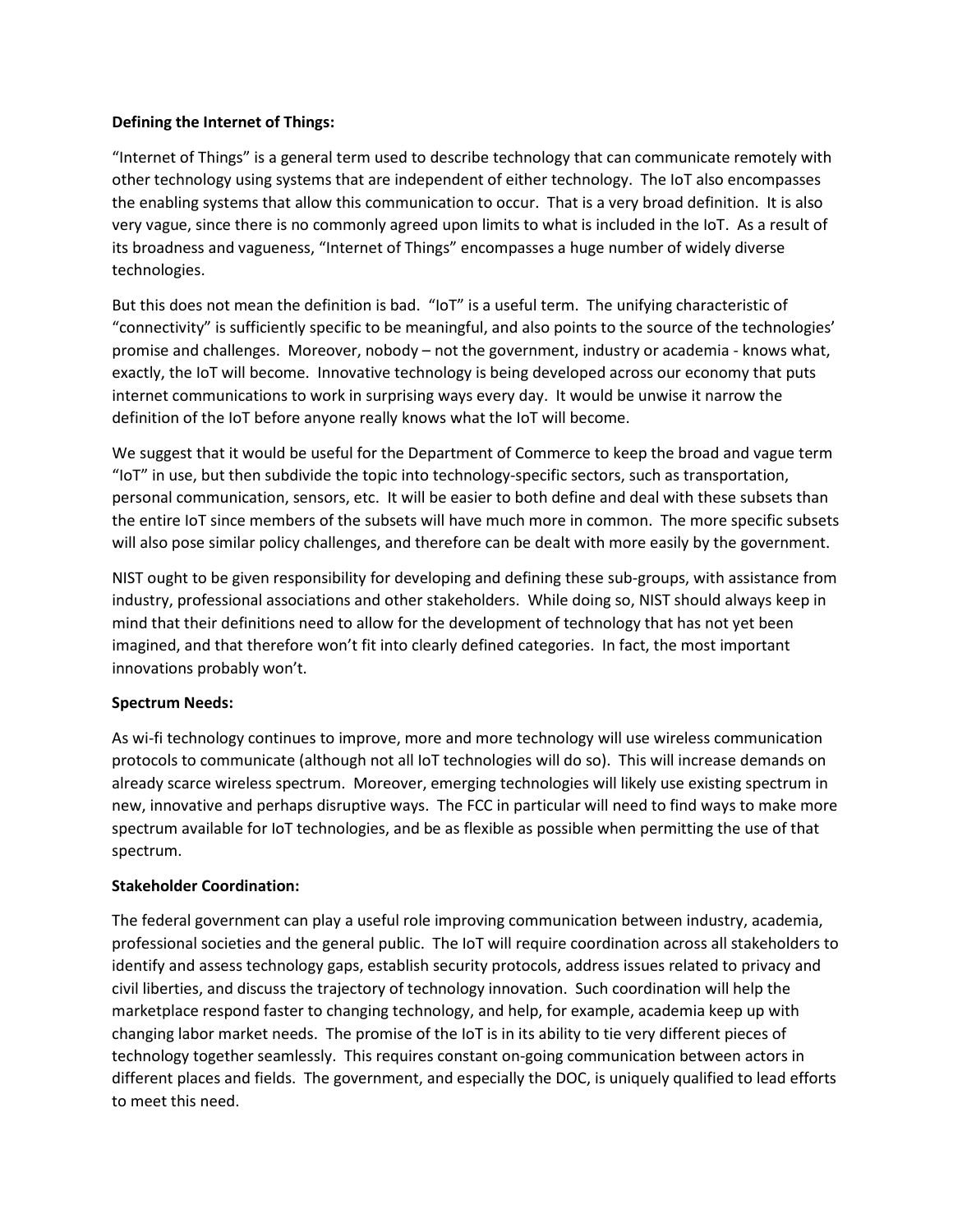## **Defining the Internet of Things:**

"Internet of Things" is a general term used to describe technology that can communicate remotely with other technology using systems that are independent of either technology. The IoT also encompasses the enabling systems that allow this communication to occur. That is a very broad definition. It is also very vague, since there is no commonly agreed upon limits to what is included in the IoT. As a result of its broadness and vagueness, "Internet of Things" encompasses a huge number of widely diverse technologies.

But this does not mean the definition is bad. "IoT" is a useful term. The unifying characteristic of "connectivity" is sufficiently specific to be meaningful, and also points to the source of the technologies' promise and challenges. Moreover, nobody – not the government, industry or academia - knows what, exactly, the IoT will become. Innovative technology is being developed across our economy that puts internet communications to work in surprising ways every day. It would be unwise it narrow the definition of the IoT before anyone really knows what the IoT will become.

We suggest that it would be useful for the Department of Commerce to keep the broad and vague term "IoT" in use, but then subdivide the topic into technology-specific sectors, such as transportation, personal communication, sensors, etc. It will be easier to both define and deal with these subsets than the entire IoT since members of the subsets will have much more in common. The more specific subsets will also pose similar policy challenges, and therefore can be dealt with more easily by the government.

NIST ought to be given responsibility for developing and defining these sub-groups, with assistance from industry, professional associations and other stakeholders. While doing so, NIST should always keep in mind that their definitions need to allow for the development of technology that has not yet been imagined, and that therefore won't fit into clearly defined categories. In fact, the most important innovations probably won't.

## **Spectrum Needs:**

As wi-fi technology continues to improve, more and more technology will use wireless communication protocols to communicate (although not all IoT technologies will do so). This will increase demands on already scarce wireless spectrum. Moreover, emerging technologies will likely use existing spectrum in new, innovative and perhaps disruptive ways. The FCC in particular will need to find ways to make more spectrum available for IoT technologies, and be as flexible as possible when permitting the use of that spectrum.

### **Stakeholder Coordination:**

The federal government can play a useful role improving communication between industry, academia, professional societies and the general public. The IoT will require coordination across all stakeholders to identify and assess technology gaps, establish security protocols, address issues related to privacy and civil liberties, and discuss the trajectory of technology innovation. Such coordination will help the marketplace respond faster to changing technology, and help, for example, academia keep up with changing labor market needs. The promise of the IoT is in its ability to tie very different pieces of technology together seamlessly. This requires constant on-going communication between actors in different places and fields. The government, and especially the DOC, is uniquely qualified to lead efforts to meet this need.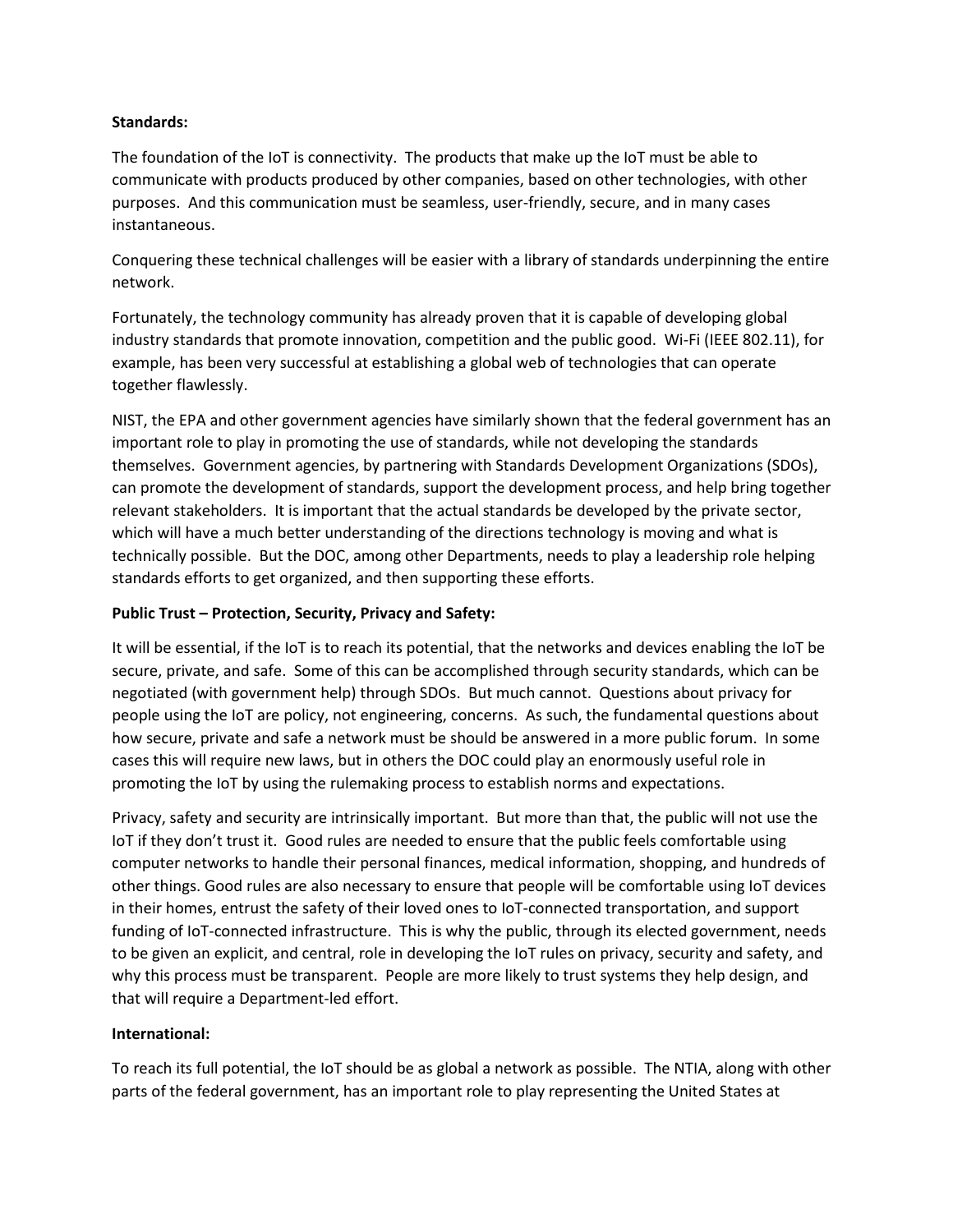### **Standards:**

The foundation of the IoT is connectivity. The products that make up the IoT must be able to communicate with products produced by other companies, based on other technologies, with other purposes. And this communication must be seamless, user-friendly, secure, and in many cases instantaneous.

Conquering these technical challenges will be easier with a library of standards underpinning the entire network.

Fortunately, the technology community has already proven that it is capable of developing global industry standards that promote innovation, competition and the public good. Wi-Fi (IEEE 802.11), for example, has been very successful at establishing a global web of technologies that can operate together flawlessly.

NIST, the EPA and other government agencies have similarly shown that the federal government has an important role to play in promoting the use of standards, while not developing the standards themselves. Government agencies, by partnering with Standards Development Organizations (SDOs), can promote the development of standards, support the development process, and help bring together relevant stakeholders. It is important that the actual standards be developed by the private sector, which will have a much better understanding of the directions technology is moving and what is technically possible. But the DOC, among other Departments, needs to play a leadership role helping standards efforts to get organized, and then supporting these efforts.

## **Public Trust – Protection, Security, Privacy and Safety:**

It will be essential, if the IoT is to reach its potential, that the networks and devices enabling the IoT be secure, private, and safe. Some of this can be accomplished through security standards, which can be negotiated (with government help) through SDOs. But much cannot. Questions about privacy for people using the IoT are policy, not engineering, concerns. As such, the fundamental questions about how secure, private and safe a network must be should be answered in a more public forum. In some cases this will require new laws, but in others the DOC could play an enormously useful role in promoting the IoT by using the rulemaking process to establish norms and expectations.

Privacy, safety and security are intrinsically important. But more than that, the public will not use the IoT if they don't trust it. Good rules are needed to ensure that the public feels comfortable using computer networks to handle their personal finances, medical information, shopping, and hundreds of other things. Good rules are also necessary to ensure that people will be comfortable using IoT devices in their homes, entrust the safety of their loved ones to IoT-connected transportation, and support funding of IoT-connected infrastructure. This is why the public, through its elected government, needs to be given an explicit, and central, role in developing the IoT rules on privacy, security and safety, and why this process must be transparent. People are more likely to trust systems they help design, and that will require a Department-led effort.

### **International:**

To reach its full potential, the IoT should be as global a network as possible. The NTIA, along with other parts of the federal government, has an important role to play representing the United States at